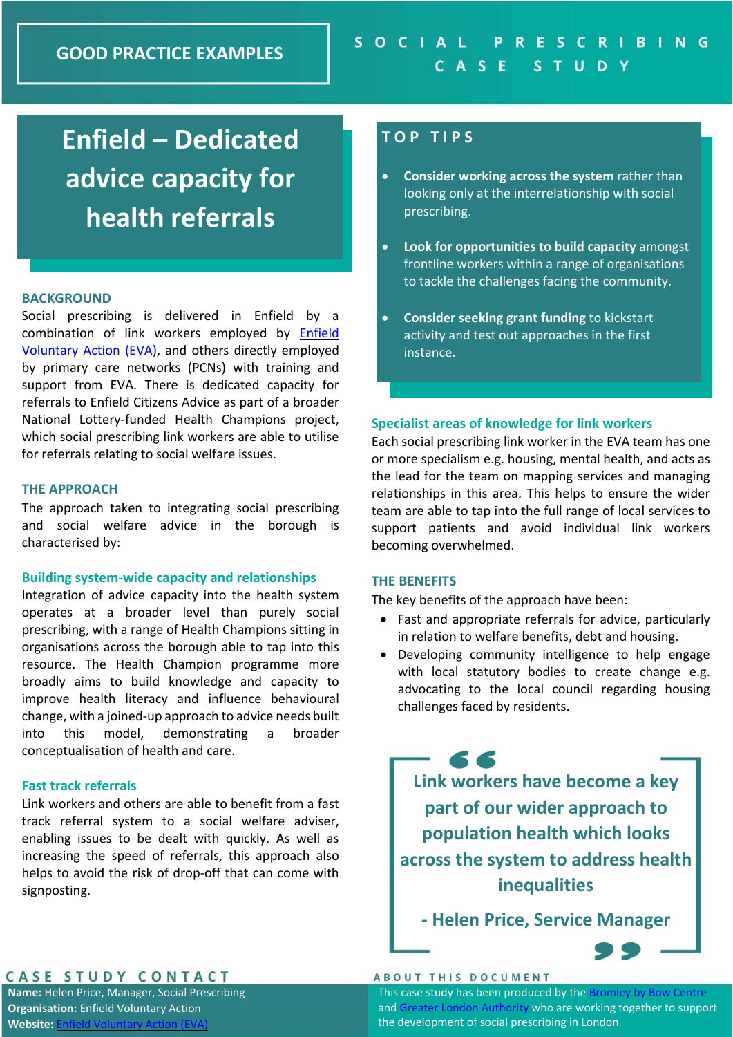# **Enfield – Dedicated advice capacity for health referrals**

## **BACKGROUND**

Social prescribing is delivered in Enfield by a combination of link workers employed by Enfield Voluntary Action (EVA), and others directly employed by primary care networks (PCNs) with training and support from EVA. There is dedicated capacity for referrals to Enfield Citizens Advice as part of a broader National Lottery‐funded Health Champions project, which social prescribing link workers are able to utilise for referrals relating to social welfare issues.

## **THE APPROACH**

The approach taken to integrating social prescribing and social welfare advice in the borough is characterised by:

## **Building system‐wide capacity and relationships**

Integration of advice capacity into the health system operates at a broader level than purely social prescribing, with a range of Health Champions sitting in organisations across the borough able to tap into this resource. The Health Champion programme more broadly aims to build knowledge and capacity to improve health literacy and influence behavioural change, with a joined‐up approach to advice needs built into this model, demonstrating a broader conceptualisation of health and care.

## **Fast track referrals**

Link workers and others are able to benefit from a fast track referral system to a social welfare adviser, enabling issues to be dealt with quickly. As well as increasing the speed of referrals, this approach also helps to avoid the risk of drop-off that can come with signposting.

## **T O P T I P S**

- **Consider working across the system** rather than looking only at the interrelationship with social prescribing.
- **Look for opportunities to build capacity** amongst frontline workers within a range of organisations to tackle the challenges facing the community.
- **Consider seeking grant funding** to kickstart activity and test out approaches in the first instance.

## **Specialist areas of knowledge for link workers**

Each social prescribing link worker in the EVA team has one or more specialism e.g. housing, mental health, and acts as the lead for the team on mapping services and managing relationships in this area. This helps to ensure the wider team are able to tap into the full range of local services to support patients and avoid individual link workers becoming overwhelmed.

## **THE BENEFITS**

The key benefits of the approach have been:

- Fast and appropriate referrals for advice, particularly in relation to welfare benefits, debt and housing.
- Developing community intelligence to help engage with local statutory bodies to create change e.g. advocating to the local council regarding housing challenges faced by residents.

66 **Link workers have become a key part of our wider approach to population health which looks across the system to address health inequalities** 

**‐ Helen Price, Service Manager** 



## CASE STUDY CONTACT

**Name:** Helen Price, Manager, Social Prescribing **Organisation:** Enfield Voluntary Action **Website:** Enfie

### **ABOUT THIS DOCUMENT**

This case study has been produced by the Bromley by Bow Centre and Greater London Authority who are working together to support the development of social prescribing in London.